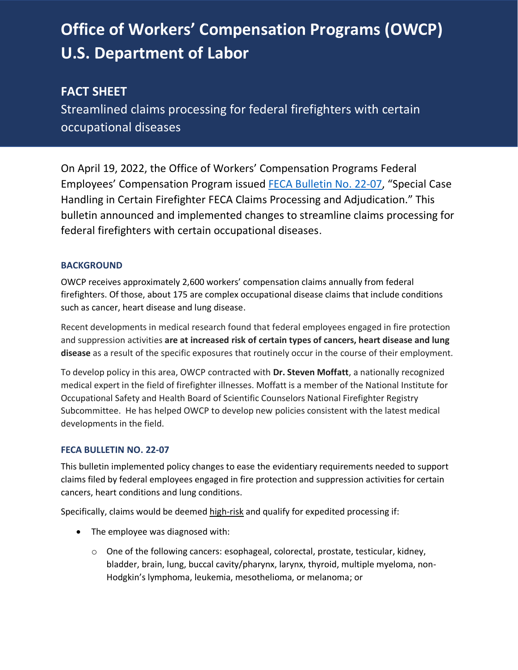# **Office of Workers' Compensation Programs (OWCP) U.S. Department of Labor**

# **FACT SHEET**

Streamlined claims processing for federal firefighters with certain occupational diseases

On April 19, 2022, the Office of Workers' Compensation Programs Federal Employees' Compensation Program issued [FECA Bulletin No. 22-07](https://www.dol.gov/agencies/owcp/FECA/regs/compliance/DFECfolio/FECABulletins/FY2020-2024#FECAB2207), "Special Case Handling in Certain Firefighter FECA Claims Processing and Adjudication." This bulletin announced and implemented changes to streamline claims processing for federal firefighters with certain occupational diseases.

## **BACKGROUND**

OWCP receives approximately 2,600 workers' compensation claims annually from federal firefighters. Of those, about 175 are complex occupational disease claims that include conditions such as cancer, heart disease and lung disease.

Recent developments in medical research found that federal employees engaged in fire protection and suppression activities **are at increased risk of certain types of cancers, heart disease and lung disease** as a result of the specific exposures that routinely occur in the course of their employment.

To develop policy in this area, OWCP contracted with **Dr. Steven Moffatt**, a nationally recognized medical expert in the field of firefighter illnesses. Moffatt is a member of the National Institute for Occupational Safety and Health Board of Scientific Counselors National Firefighter Registry Subcommittee. He has helped OWCP to develop new policies consistent with the latest medical developments in the field.

#### **FECA BULLETIN NO. 22-07**

This bulletin implemented policy changes to ease the evidentiary requirements needed to support claims filed by federal employees engaged in fire protection and suppression activities for certain cancers, heart conditions and lung conditions.

Specifically, claims would be deemed high-risk and qualify for expedited processing if:

- The employee was diagnosed with:
	- $\circ$  One of the following cancers: esophageal, colorectal, prostate, testicular, kidney, bladder, brain, lung, buccal cavity/pharynx, larynx, thyroid, multiple myeloma, non-Hodgkin's lymphoma, leukemia, mesothelioma, or melanoma; or